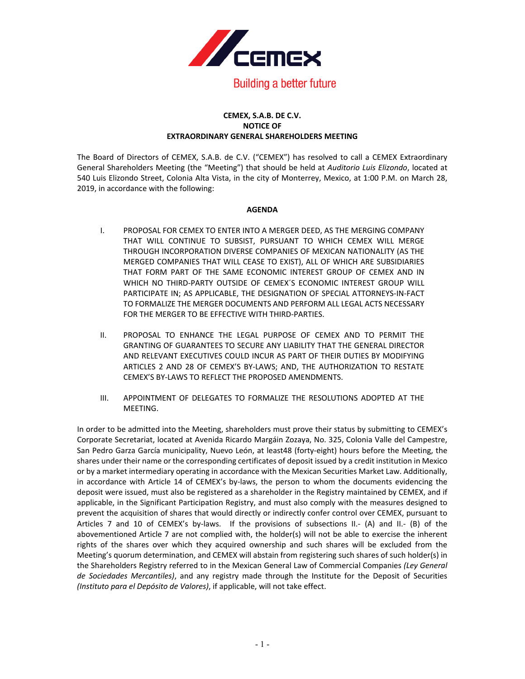

## **CEMEX, S.A.B. DE C.V. NOTICE OF EXTRAORDINARY GENERAL SHAREHOLDERS MEETING**

The Board of Directors of CEMEX, S.A.B. de C.V. ("CEMEX") has resolved to call a CEMEX Extraordinary General Shareholders Meeting (the "Meeting") that should be held at *Auditorio Luis Elizondo*, located at 540 Luis Elizondo Street, Colonia Alta Vista, in the city of Monterrey, Mexico, at 1:00 P.M. on March 28, 2019, in accordance with the following:

## **AGENDA**

- I. PROPOSAL FOR CEMEX TO ENTER INTO A MERGER DEED, AS THE MERGING COMPANY THAT WILL CONTINUE TO SUBSIST, PURSUANT TO WHICH CEMEX WILL MERGE THROUGH INCORPORATION DIVERSE COMPANIES OF MEXICAN NATIONALITY (AS THE MERGED COMPANIES THAT WILL CEASE TO EXIST), ALL OF WHICH ARE SUBSIDIARIES THAT FORM PART OF THE SAME ECONOMIC INTEREST GROUP OF CEMEX AND IN WHICH NO THIRD-PARTY OUTSIDE OF CEMEX´S ECONOMIC INTEREST GROUP WILL PARTICIPATE IN; AS APPLICABLE, THE DESIGNATION OF SPECIAL ATTORNEYS-IN-FACT TO FORMALIZE THE MERGER DOCUMENTS AND PERFORM ALL LEGAL ACTS NECESSARY FOR THE MERGER TO BE EFFECTIVE WITH THIRD-PARTIES.
- II. PROPOSAL TO ENHANCE THE LEGAL PURPOSE OF CEMEX AND TO PERMIT THE GRANTING OF GUARANTEES TO SECURE ANY LIABILITY THAT THE GENERAL DIRECTOR AND RELEVANT EXECUTIVES COULD INCUR AS PART OF THEIR DUTIES BY MODIFYING ARTICLES 2 AND 28 OF CEMEX'S BY-LAWS; AND, THE AUTHORIZATION TO RESTATE CEMEX'S BY-LAWS TO REFLECT THE PROPOSED AMENDMENTS.
- III. APPOINTMENT OF DELEGATES TO FORMALIZE THE RESOLUTIONS ADOPTED AT THE MEETING.

In order to be admitted into the Meeting, shareholders must prove their status by submitting to CEMEX's Corporate Secretariat, located at Avenida Ricardo Margáin Zozaya, No. 325, Colonia Valle del Campestre, San Pedro Garza García municipality, Nuevo León, at least48 (forty-eight) hours before the Meeting, the shares under their name or the corresponding certificates of deposit issued by a credit institution in Mexico or by a market intermediary operating in accordance with the Mexican Securities Market Law. Additionally, in accordance with Article 14 of CEMEX's by-laws, the person to whom the documents evidencing the deposit were issued, must also be registered as a shareholder in the Registry maintained by CEMEX, and if applicable, in the Significant Participation Registry, and must also comply with the measures designed to prevent the acquisition of shares that would directly or indirectly confer control over CEMEX, pursuant to Articles 7 and 10 of CEMEX's by-laws. If the provisions of subsections II.- (A) and II.- (B) of the abovementioned Article 7 are not complied with, the holder(s) will not be able to exercise the inherent rights of the shares over which they acquired ownership and such shares will be excluded from the Meeting's quorum determination, and CEMEX will abstain from registering such shares of such holder(s) in the Shareholders Registry referred to in the Mexican General Law of Commercial Companies *(Ley General de Sociedades Mercantiles)*, and any registry made through the Institute for the Deposit of Securities *(Instituto para el Depósito de Valores)*, if applicable, will not take effect.